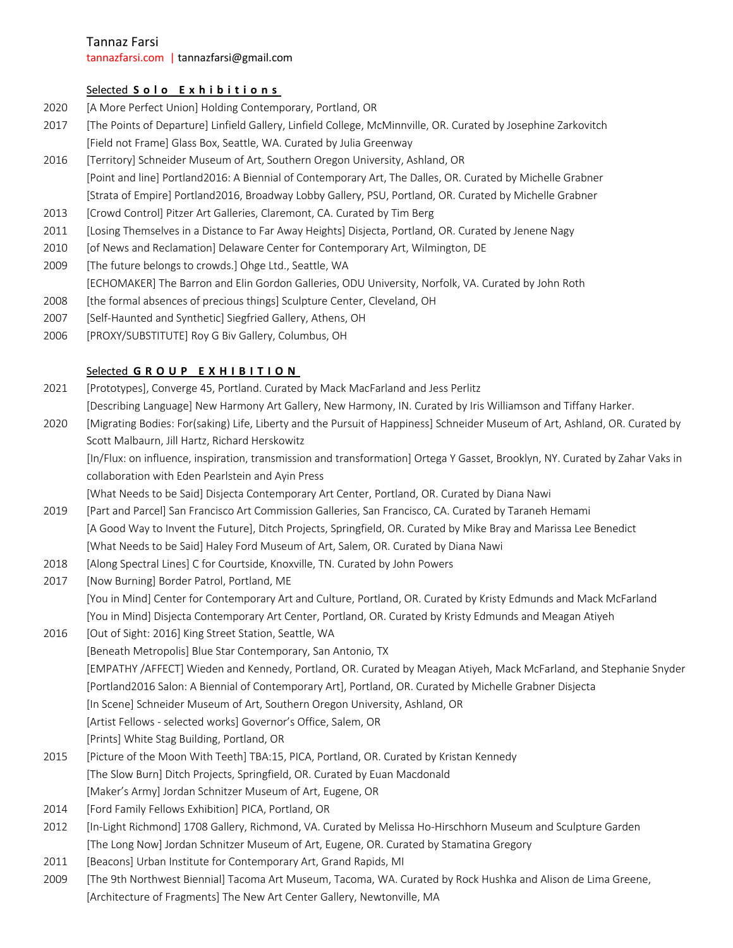Tannaz Farsi

tannazfarsi.com | tannazfarsi@gmail.com

## Selected **Solo Exhibitions**

- 2020 [A More Perfect Union] Holding Contemporary, Portland, OR
- 2017 [The Points of Departure] Linfield Gallery, Linfield College, McMinnville, OR. Curated by Josephine Zarkovitch [Field not Frame] Glass Box, Seattle, WA. Curated by Julia Greenway
- 2016 [Territory] Schneider Museum of Art, Southern Oregon University, Ashland, OR [Point and line] Portland2016: A Biennial of Contemporary Art, The Dalles, OR. Curated by Michelle Grabner [Strata of Empire] Portland2016, Broadway Lobby Gallery, PSU, Portland, OR. Curated by Michelle Grabner
- 2013 [Crowd Control] Pitzer Art Galleries, Claremont, CA. Curated by Tim Berg
- 2011 [Losing Themselves in a Distance to Far Away Heights] Disjecta, Portland, OR. Curated by Jenene Nagy
- 2010 [of News and Reclamation] Delaware Center for Contemporary Art, Wilmington, DE
- 2009 [The future belongs to crowds.] Ohge Ltd., Seattle, WA [ECHOMAKER] The Barron and Elin Gordon Galleries, ODU University, Norfolk, VA. Curated by John Roth
- 2008 [the formal absences of precious things] Sculpture Center, Cleveland, OH
- 2007 [Self-Haunted and Synthetic] Siegfried Gallery, Athens, OH
- 2006 [PROXY/SUBSTITUTE] Roy G Biv Gallery, Columbus, OH

### Selected **GROUP EXHIBITION**

- 2021 [Prototypes], Converge 45, Portland. Curated by Mack MacFarland and Jess Perlitz [Describing Language] New Harmony Art Gallery, New Harmony, IN. Curated by Iris Williamson and Tiffany Harker.
- 2020 [Migrating Bodies: For(saking) Life, Liberty and the Pursuit of Happiness] Schneider Museum of Art, Ashland, OR. Curated by Scott Malbaurn, Jill Hartz, Richard Herskowitz

 [In/Flux: on influence, inspiration, transmission and transformation] Ortega Y Gasset, Brooklyn, NY. Curated by Zahar Vaks in collaboration with Eden Pearlstein and Ayin Press

[What Needs to be Said] Disjecta Contemporary Art Center, Portland, OR. Curated by Diana Nawi

- 2019 [Part and Parcel] San Francisco Art Commission Galleries, San Francisco, CA. Curated by Taraneh Hemami [A Good Way to Invent the Future], Ditch Projects, Springfield, OR. Curated by Mike Bray and Marissa Lee Benedict [What Needs to be Said] Haley Ford Museum of Art, Salem, OR. Curated by Diana Nawi
- 2018 [Along Spectral Lines] C for Courtside, Knoxville, TN. Curated by John Powers
- 2017 [Now Burning] Border Patrol, Portland, ME [You in Mind] Center for Contemporary Art and Culture, Portland, OR. Curated by Kristy Edmunds and Mack McFarland [You in Mind] Disjecta Contemporary Art Center, Portland, OR. Curated by Kristy Edmunds and Meagan Atiyeh
- 2016 [Out of Sight: 2016] King Street Station, Seattle, WA [Beneath Metropolis] Blue Star Contemporary, San Antonio, TX [EMPATHY /AFFECT] Wieden and Kennedy, Portland, OR. Curated by Meagan Atiyeh, Mack McFarland, and Stephanie Snyder [Portland2016 Salon: A Biennial of Contemporary Art], Portland, OR. Curated by Michelle Grabner Disjecta [In Scene] Schneider Museum of Art, Southern Oregon University, Ashland, OR [Artist Fellows - selected works] Governor's Office, Salem, OR [Prints] White Stag Building, Portland, OR
- 2015 [Picture of the Moon With Teeth] TBA:15, PICA, Portland, OR. Curated by Kristan Kennedy [The Slow Burn] Ditch Projects, Springfield, OR. Curated by Euan Macdonald [Maker's Army] Jordan Schnitzer Museum of Art, Eugene, OR
- 2014 [Ford Family Fellows Exhibition] PICA, Portland, OR
- 2012 [In-Light Richmond] 1708 Gallery, Richmond, VA. Curated by Melissa Ho-Hirschhorn Museum and Sculpture Garden [The Long Now] Jordan Schnitzer Museum of Art, Eugene, OR. Curated by Stamatina Gregory
- 2011 [Beacons] Urban Institute for Contemporary Art, Grand Rapids, MI
- 2009 [The 9th Northwest Biennial] Tacoma Art Museum, Tacoma, WA. Curated by Rock Hushka and Alison de Lima Greene, [Architecture of Fragments] The New Art Center Gallery, Newtonville, MA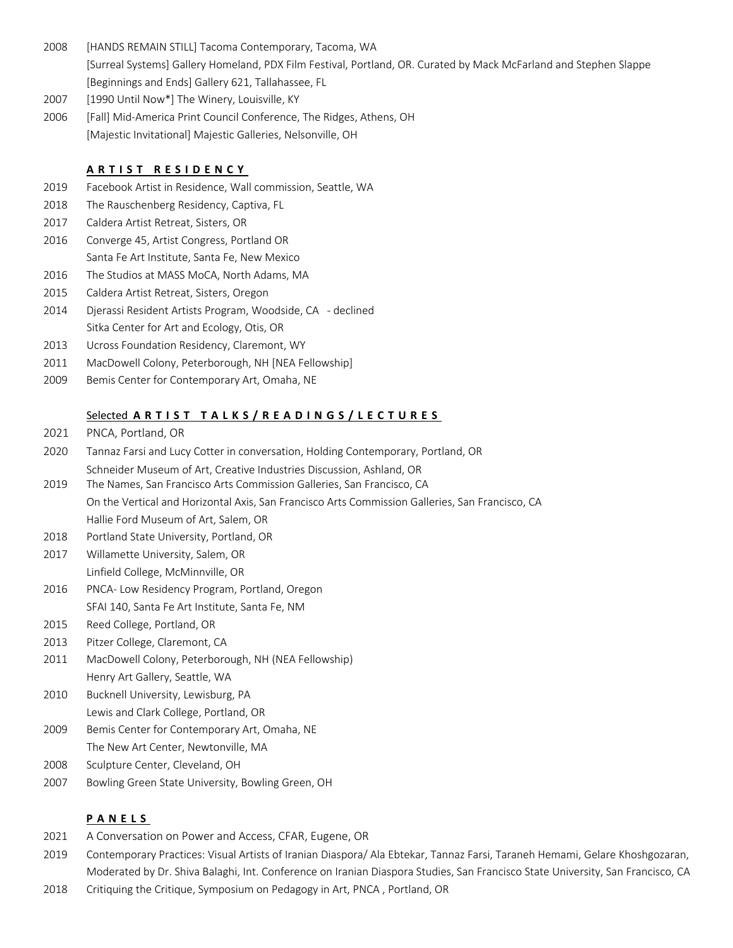- 2008 [HANDS REMAIN STILL] Tacoma Contemporary, Tacoma, WA [Surreal Systems] Gallery Homeland, PDX Film Festival, Portland, OR. Curated by Mack McFarland and Stephen Slappe [Beginnings and Ends] Gallery 621, Tallahassee, FL
- 2007 [1990 Until Now\*] The Winery, Louisville, KY
- 2006 [Fall] Mid-America Print Council Conference, The Ridges, Athens, OH [Majestic Invitational] Majestic Galleries, Nelsonville, OH

# **ARTIST RESIDENCY**

- 2019 Facebook Artist in Residence, Wall commission, Seattle, WA
- 2018 The Rauschenberg Residency, Captiva, FL
- 2017 Caldera Artist Retreat, Sisters, OR
- 2016 Converge 45, Artist Congress, Portland OR Santa Fe Art Institute, Santa Fe, New Mexico
- 2016 The Studios at MASS MoCA, North Adams, MA
- 2015 Caldera Artist Retreat, Sisters, Oregon
- 2014 Djerassi Resident Artists Program, Woodside, CA declined Sitka Center for Art and Ecology, Otis, OR
- 2013 Ucross Foundation Residency, Claremont, WY
- 2011 MacDowell Colony, Peterborough, NH [NEA Fellowship]
- 2009 Bemis Center for Contemporary Art, Omaha, NE

# Selected **ARTIST TALKS/READINGS/LECTURES**

- 2021 PNCA, Portland, OR
- 2020 Tannaz Farsi and Lucy Cotter in conversation, Holding Contemporary, Portland, OR Schneider Museum of Art, Creative Industries Discussion, Ashland, OR
- 2019 The Names, San Francisco Arts Commission Galleries, San Francisco, CA On the Vertical and Horizontal Axis, San Francisco Arts Commission Galleries, San Francisco, CA Hallie Ford Museum of Art, Salem, OR
- 2018 Portland State University, Portland, OR
- 2017 Willamette University, Salem, OR Linfield College, McMinnville, OR
- 2016 PNCA- Low Residency Program, Portland, Oregon
- SFAI 140, Santa Fe Art Institute, Santa Fe, NM
- 2015 Reed College, Portland, OR
- 2013 Pitzer College, Claremont, CA
- 2011 MacDowell Colony, Peterborough, NH (NEA Fellowship) Henry Art Gallery, Seattle, WA
- 2010 Bucknell University, Lewisburg, PA Lewis and Clark College, Portland, OR
- 2009 Bemis Center for Contemporary Art, Omaha, NE The New Art Center, Newtonville, MA
- 2008 Sculpture Center, Cleveland, OH
- 2007 Bowling Green State University, Bowling Green, OH

# **PANELS**

- 2021 A Conversation on Power and Access, CFAR, Eugene, OR
- 2019 Contemporary Practices: Visual Artists of Iranian Diaspora/ Ala Ebtekar, Tannaz Farsi, Taraneh Hemami, Gelare Khoshgozaran, Moderated by Dr. Shiva Balaghi, Int. Conference on Iranian Diaspora Studies, San Francisco State University, San Francisco, CA
- 2018 Critiquing the Critique, Symposium on Pedagogy in Art, PNCA , Portland, OR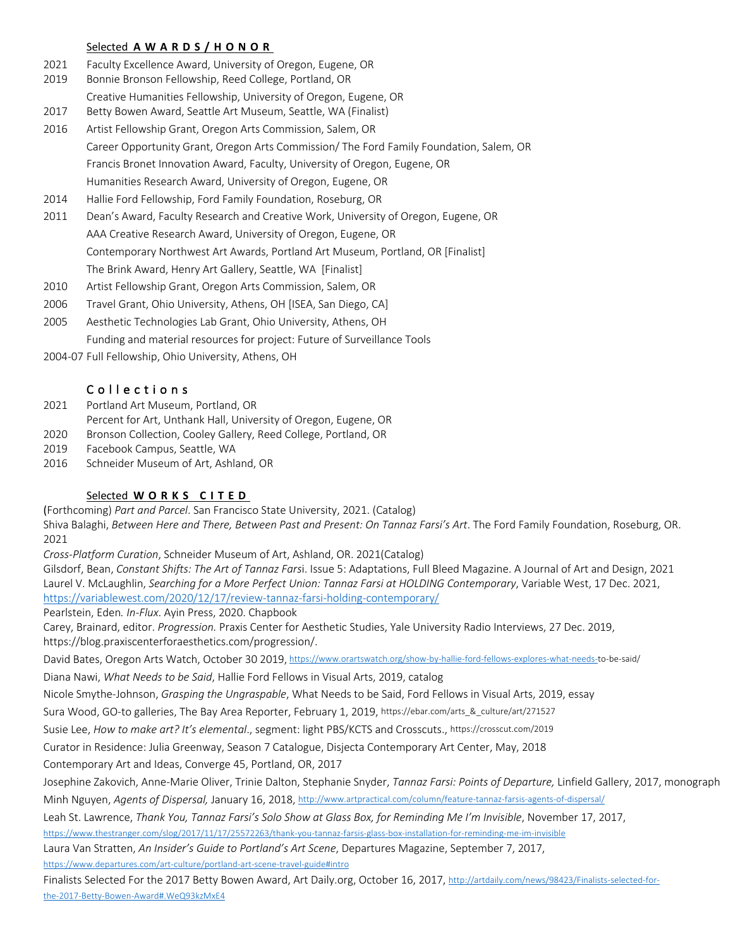#### Selected **AWARDS/HONOR**

- 2021 Faculty Excellence Award, University of Oregon, Eugene, OR
- 2019 Bonnie Bronson Fellowship, Reed College, Portland, OR Creative Humanities Fellowship, University of Oregon, Eugene, OR
- 2017 Betty Bowen Award, Seattle Art Museum, Seattle, WA (Finalist)
- 2016 Artist Fellowship Grant, Oregon Arts Commission, Salem, OR Career Opportunity Grant, Oregon Arts Commission/ The Ford Family Foundation, Salem, OR Francis Bronet Innovation Award, Faculty, University of Oregon, Eugene, OR Humanities Research Award, University of Oregon, Eugene, OR
- 2014 Hallie Ford Fellowship, Ford Family Foundation, Roseburg, OR
- 2011 Dean's Award, Faculty Research and Creative Work, University of Oregon, Eugene, OR AAA Creative Research Award, University of Oregon, Eugene, OR Contemporary Northwest Art Awards, Portland Art Museum, Portland, OR [Finalist] The Brink Award, Henry Art Gallery, Seattle, WA [Finalist]
- 2010 Artist Fellowship Grant, Oregon Arts Commission, Salem, OR
- 2006 Travel Grant, Ohio University, Athens, OH [ISEA, San Diego, CA]
- 2005 Aesthetic Technologies Lab Grant, Ohio University, Athens, OH
	- Funding and material resources for project: Future of Surveillance Tools
- 2004-07 Full Fellowship, Ohio University, Athens, OH

## Collections

- 2021 Portland Art Museum, Portland, OR
- Percent for Art, Unthank Hall, University of Oregon, Eugene, OR
- 2020 Bronson Collection, Cooley Gallery, Reed College, Portland, OR
- 2019 Facebook Campus, Seattle, WA
- 2016 Schneider Museum of Art, Ashland, OR

### Selected **WORKS CITED**

(Forthcoming) *Part and Parcel*. San Francisco State University, 2021. (Catalog) Shiva Balaghi, *Between Here and There, Between Past and Present: On Tannaz Farsi's Art*. The Ford Family Foundation, Roseburg, OR. 2021

*Cross-Platform Curation*, Schneider Museum of Art, Ashland, OR. 2021(Catalog)

Gilsdorf, Bean, *Constant Shifts: The Art of Tannaz Fars*i. Issue 5: Adaptations, Full Bleed Magazine. A Journal of Art and Design, 2021 Laurel V. McLaughlin, *Searching for a More Perfect Union: Tannaz Farsi at HOLDING Contemporary*, Variable West, 17 Dec. 2021, https://variablewest.com/2020/12/17/review-tannaz-farsi-holding-contemporary/

Pearlstein, Eden*. In-Flux*. Ayin Press, 2020. Chapbook

Carey, Brainard, editor. *Progression.* Praxis Center for Aesthetic Studies, Yale University Radio Interviews, 27 Dec. 2019, https://blog.praxiscenterforaesthetics.com/progression/.

David Bates, Oregon Arts Watch, October 30 2019, https://www.orartswatch.org/show-by-hallie-ford-fellows-explores-what-needs-to-be-said/

Diana Nawi, *What Needs to be Said*, Hallie Ford Fellows in Visual Arts, 2019, catalog

Nicole Smythe-Johnson, *Grasping the Ungraspable*, What Needs to be Said, Ford Fellows in Visual Arts, 2019, essay

Sura Wood, GO-to galleries, The Bay Area Reporter, February 1, 2019, https://ebar.com/arts\_&\_culture/art/271527

Susie Lee, *How to make art? It's elemental*., segment: light PBS/KCTS and Crosscuts., https://crosscut.com/2019

Curator in Residence: Julia Greenway, Season 7 Catalogue, Disjecta Contemporary Art Center, May, 2018

Contemporary Art and Ideas, Converge 45, Portland, OR, 2017

Josephine Zakovich, Anne-Marie Oliver, Trinie Dalton, Stephanie Snyder, *Tannaz Farsi: Points of Departure,* Linfield Gallery, 2017, monograph Minh Nguyen, *Agents of Dispersal,* January 16, 2018, http://www.artpractical.com/column/feature-tannaz-farsis-agents-of-dispersal/

Leah St. Lawrence, *Thank You, Tannaz Farsi's Solo Show at Glass Box, for Reminding Me I'm Invisible*, November 17, 2017, https://www.thestranger.com/slog/2017/11/17/25572263/thank-you-tannaz-farsis-glass-box-installation-for-reminding-me-im-invisible

Laura Van Stratten, *An Insider's Guide to Portland's Art Scene*, Departures Magazine, September 7, 2017, https://www.departures.com/art-culture/portland-art-scene-travel-guide#intro

Finalists Selected For the 2017 Betty Bowen Award, Art Daily.org, October 16, 2017, http://artdaily.com/news/98423/Finalists-selected-forthe-2017-Betty-Bowen-Award#.WeQ93kzMxE4